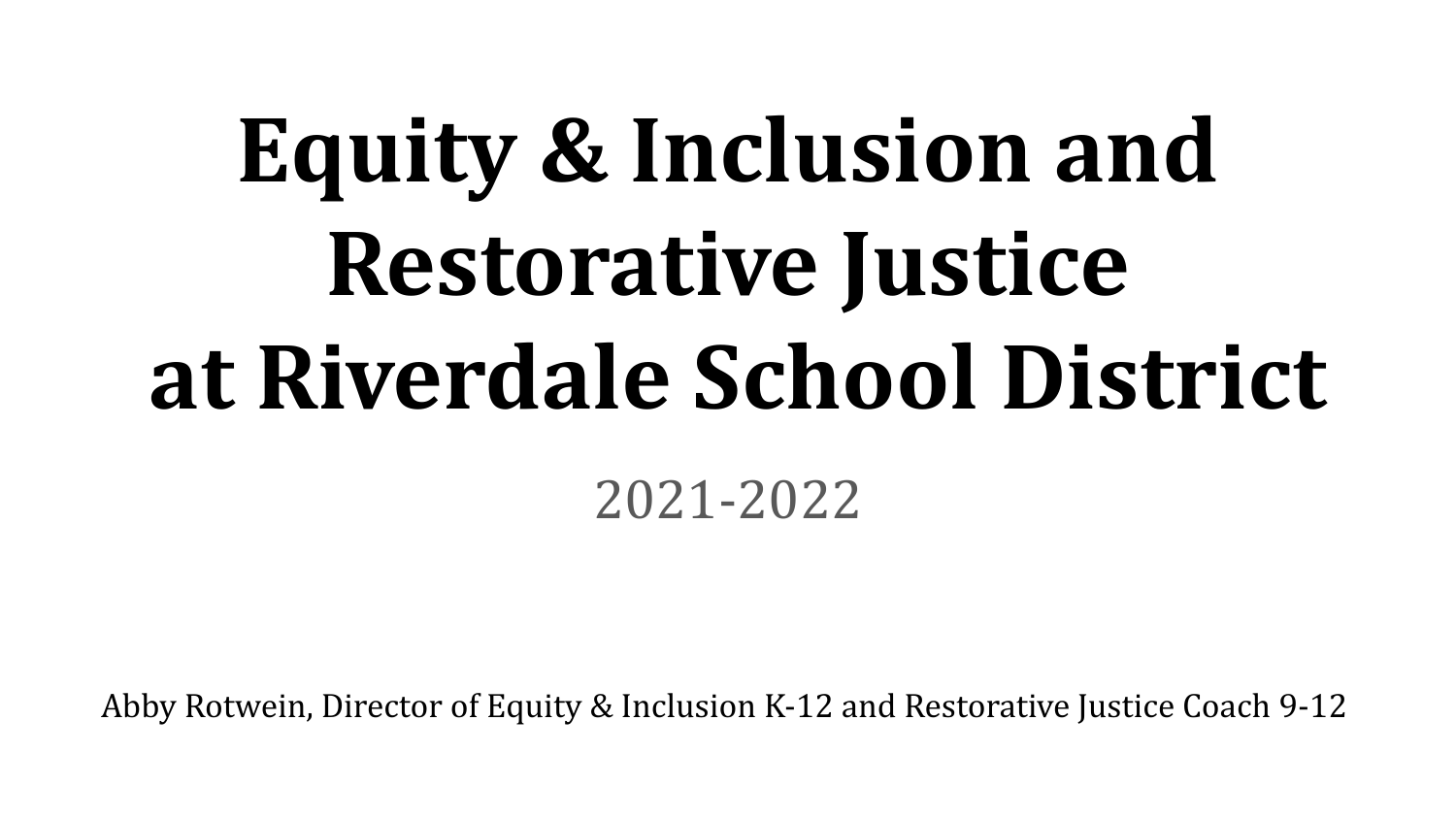# **Equity & Inclusion and Restorative Justice at Riverdale School District** 2021-2022

Abby Rotwein, Director of Equity & Inclusion K-12 and Restorative Justice Coach 9-12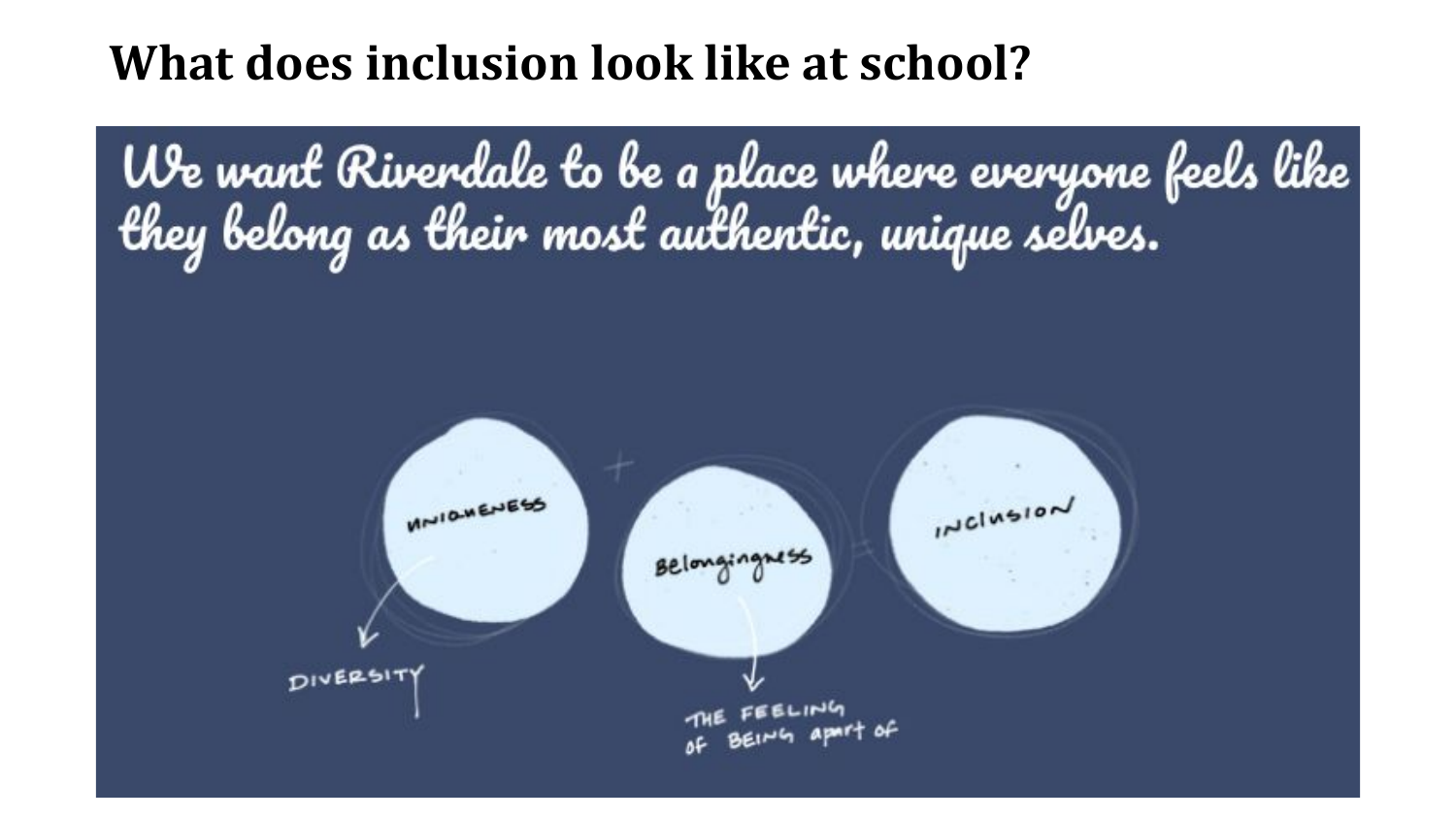#### **What does inclusion look like at school?**

We want Riverdale to be a place where everyone feels like<br>they belong as their most authentic, unique selves.

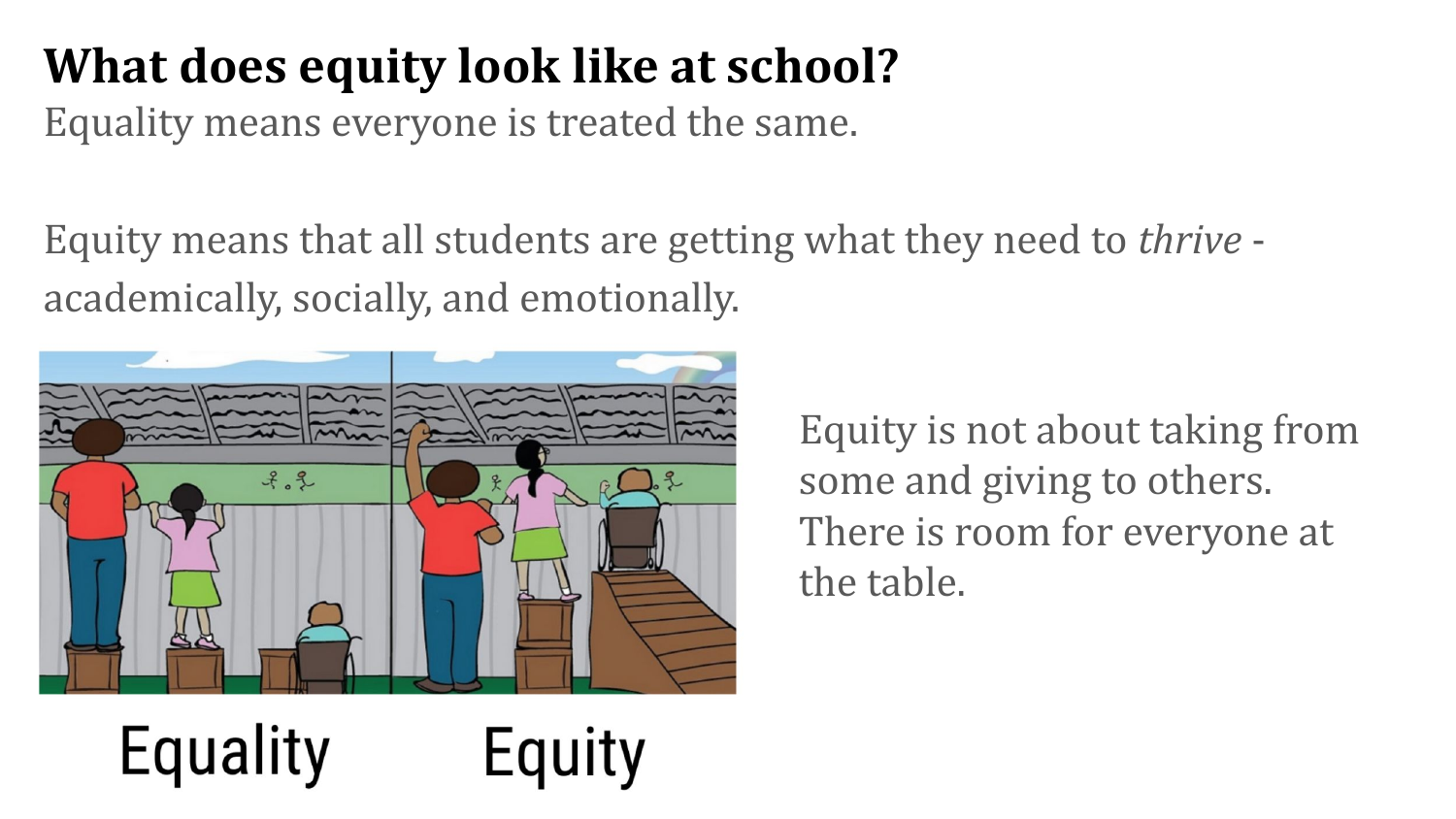## **What does equity look like at school?**

Equality means everyone is treated the same.

Equity means that all students are getting what they need to *thrive* academically, socially, and emotionally.

Equity



Equality

Equity is not about taking from some and giving to others. There is room for everyone at the table.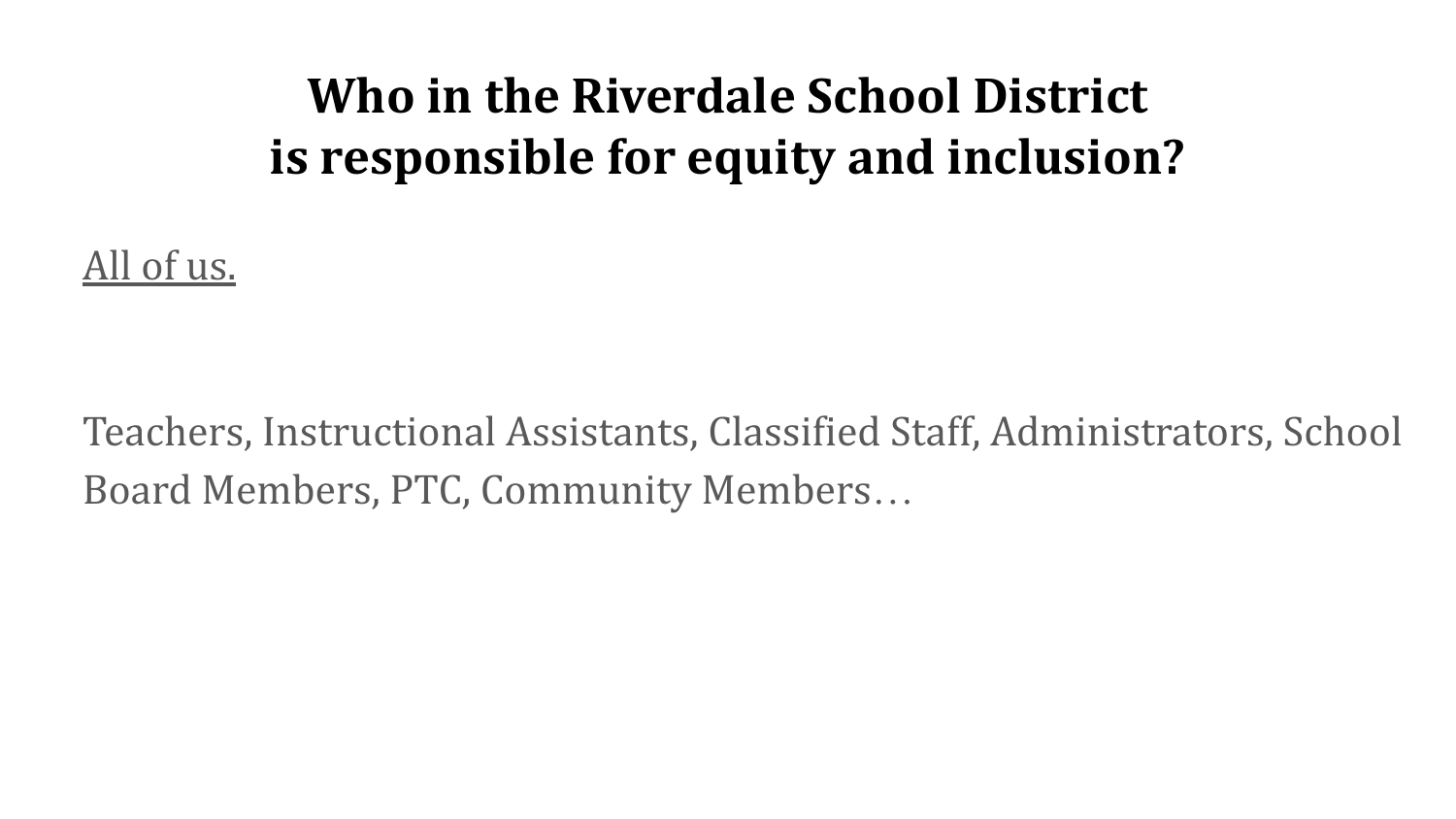#### **Who in the Riverdale School District is responsible for equity and inclusion?**

All of us.

Teachers, Instructional Assistants, Classified Staff, Administrators, School Board Members, PTC, Community Members…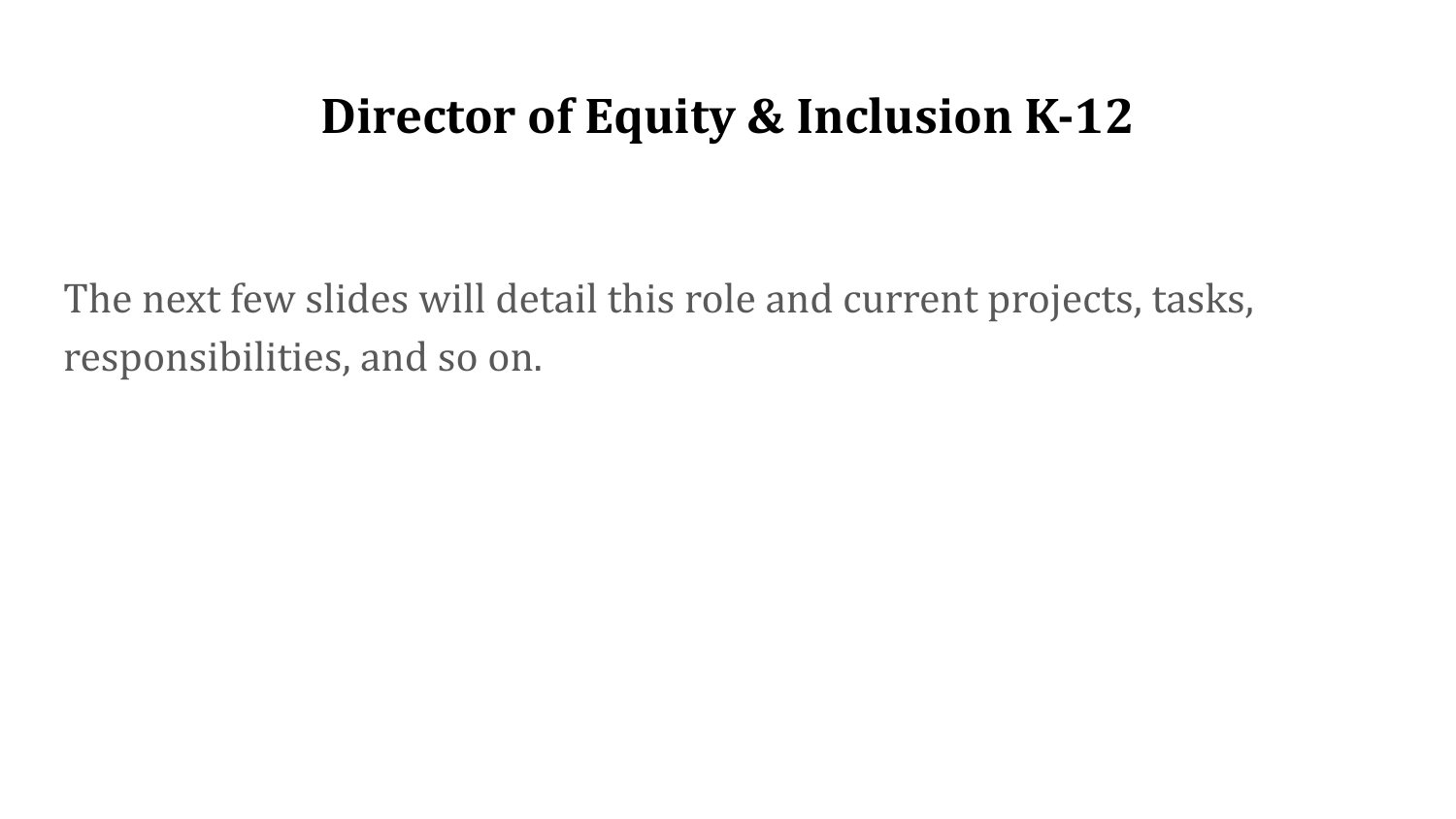#### **Director of Equity & Inclusion K-12**

The next few slides will detail this role and current projects, tasks, responsibilities, and so on.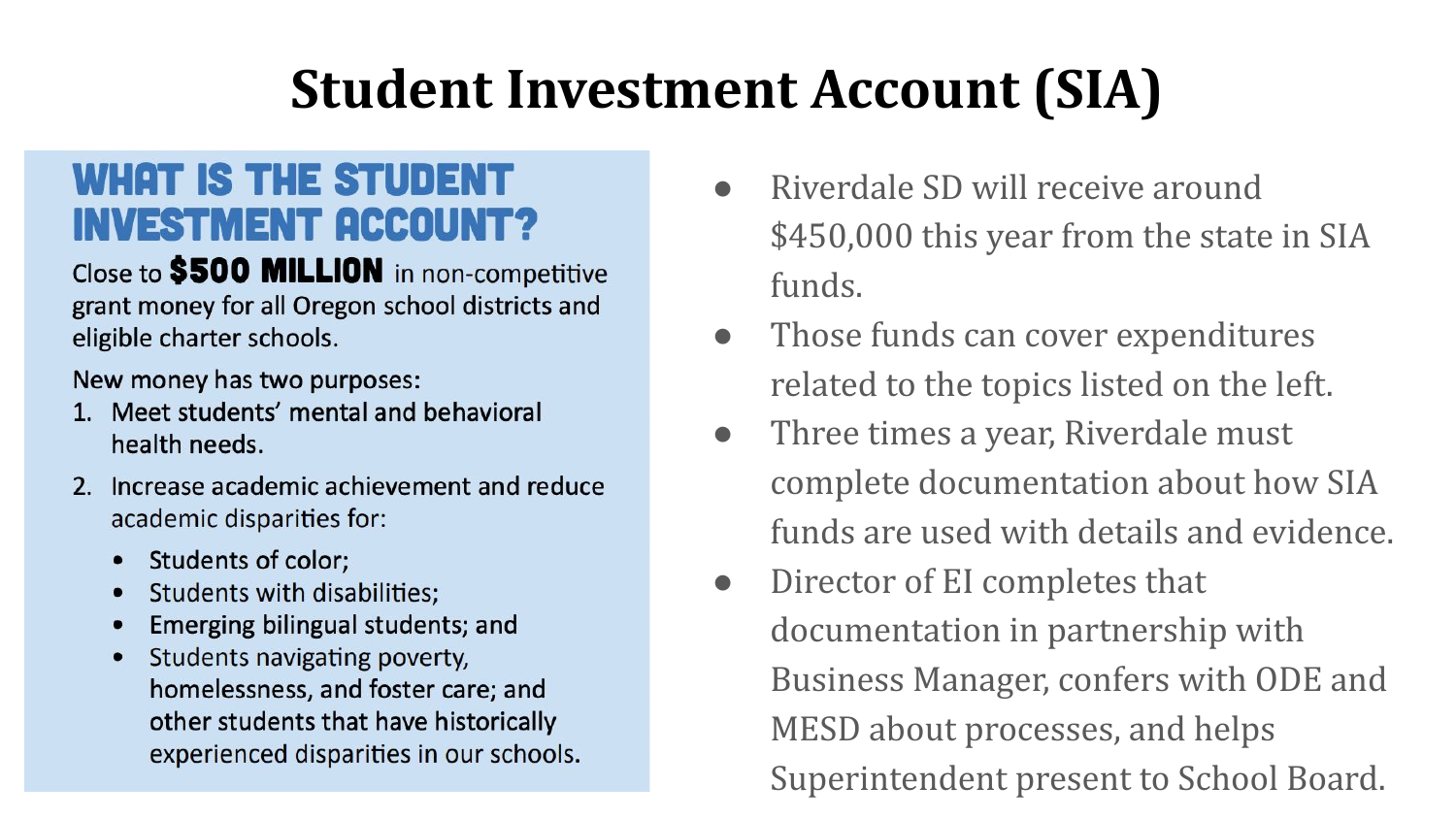# **Student Investment Account (SIA)**

#### **WHAT IS THE STUDENT INVESTMENT ACCOUNT?**

Close to \$500 MILLION in non-competitive grant money for all Oregon school districts and eligible charter schools.

New money has two purposes:

- 1. Meet students' mental and behavioral health needs.
- 2. Increase academic achievement and reduce academic disparities for:
	- **Students of color;**
	- Students with disabilities;
	- Emerging bilingual students; and
	- Students navigating poverty, homelessness, and foster care; and other students that have historically experienced disparities in our schools.
- Riverdale SD will receive around \$450,000 this year from the state in SIA funds.
- Those funds can cover expenditures related to the topics listed on the left.
- Three times a year, Riverdale must complete documentation about how SIA funds are used with details and evidence.
- Director of EI completes that documentation in partnership with Business Manager, confers with ODE and MESD about processes, and helps Superintendent present to School Board.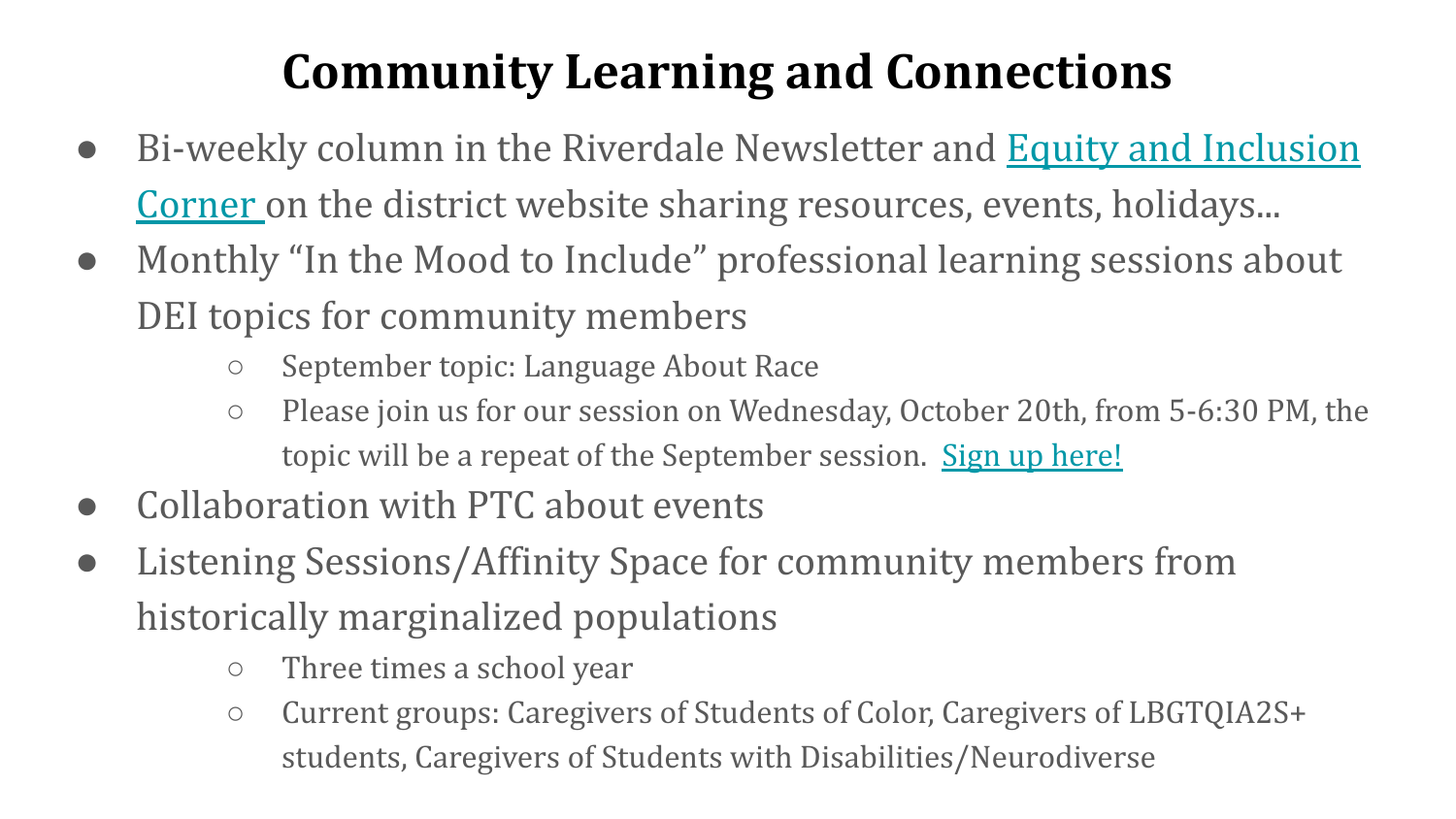## **Community Learning and Connections**

- Bi-weekly column in the Riverdale Newsletter and **[Equity and Inclusion](https://www.riverdaleschool.com/domain/348)** [Corner o](https://www.riverdaleschool.com/domain/348)n the district website sharing resources, events, holidays...
- Monthly "In the Mood to Include" professional learning sessions about DEI topics for community members
	- September topic: Language About Race
	- Please join us for our session on Wednesday, October 20th, from 5-6:30 PM, the topic will be a repeat of the September session. [Sign up here!](https://forms.gle/qpABR3M3VNPdtYnV7)
- Collaboration with PTC about events
- Listening Sessions/Affinity Space for community members from historically marginalized populations
	- Three times a school year
	- Current groups: Caregivers of Students of Color, Caregivers of LBGTQIA2S+ students, Caregivers of Students with Disabilities/Neurodiverse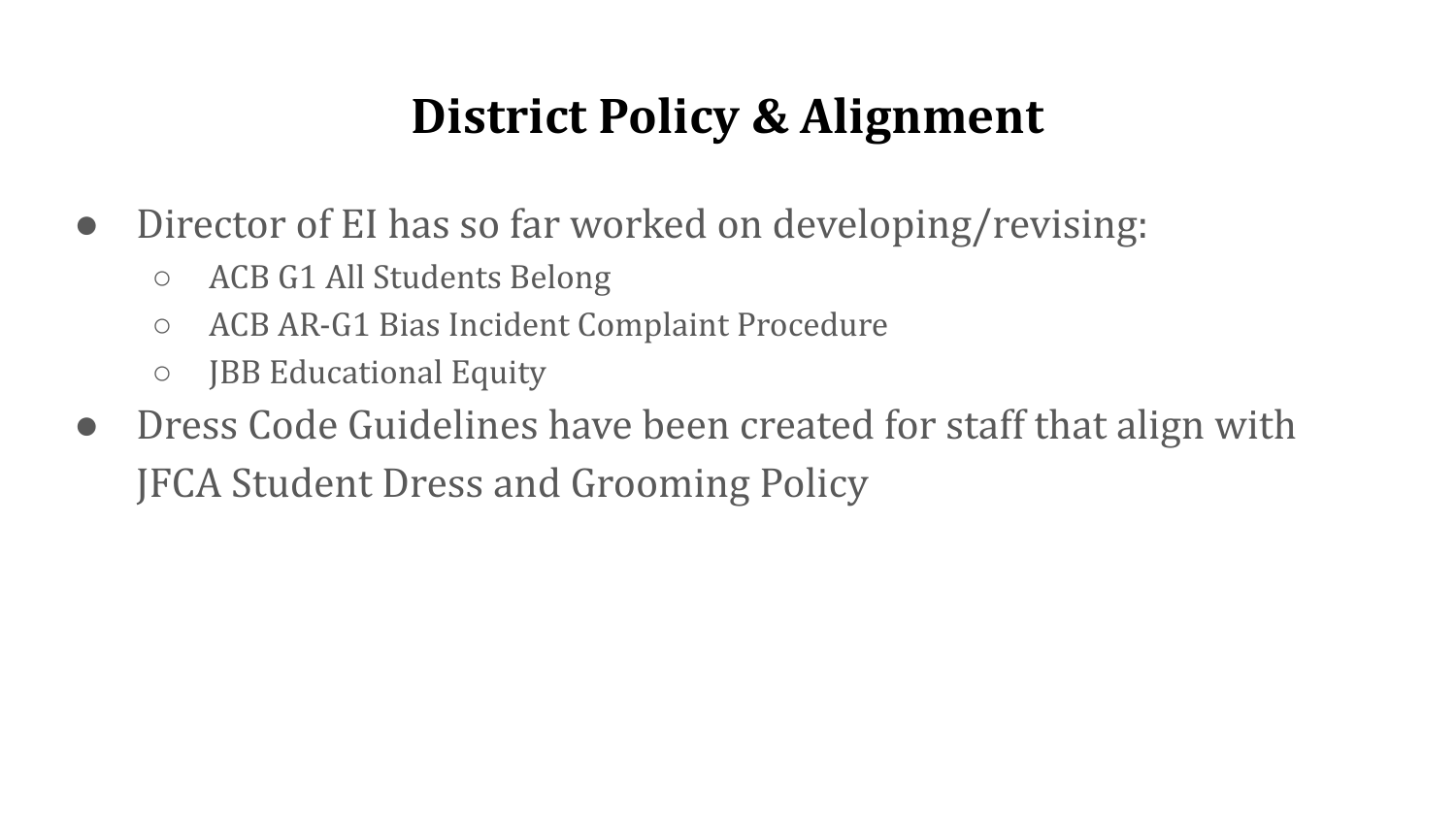#### **District Policy & Alignment**

- Director of EI has so far worked on developing/revising:
	- ACB G1 All Students Belong
	- ACB AR-G1 Bias Incident Complaint Procedure
	- JBB Educational Equity
- Dress Code Guidelines have been created for staff that align with JFCA Student Dress and Grooming Policy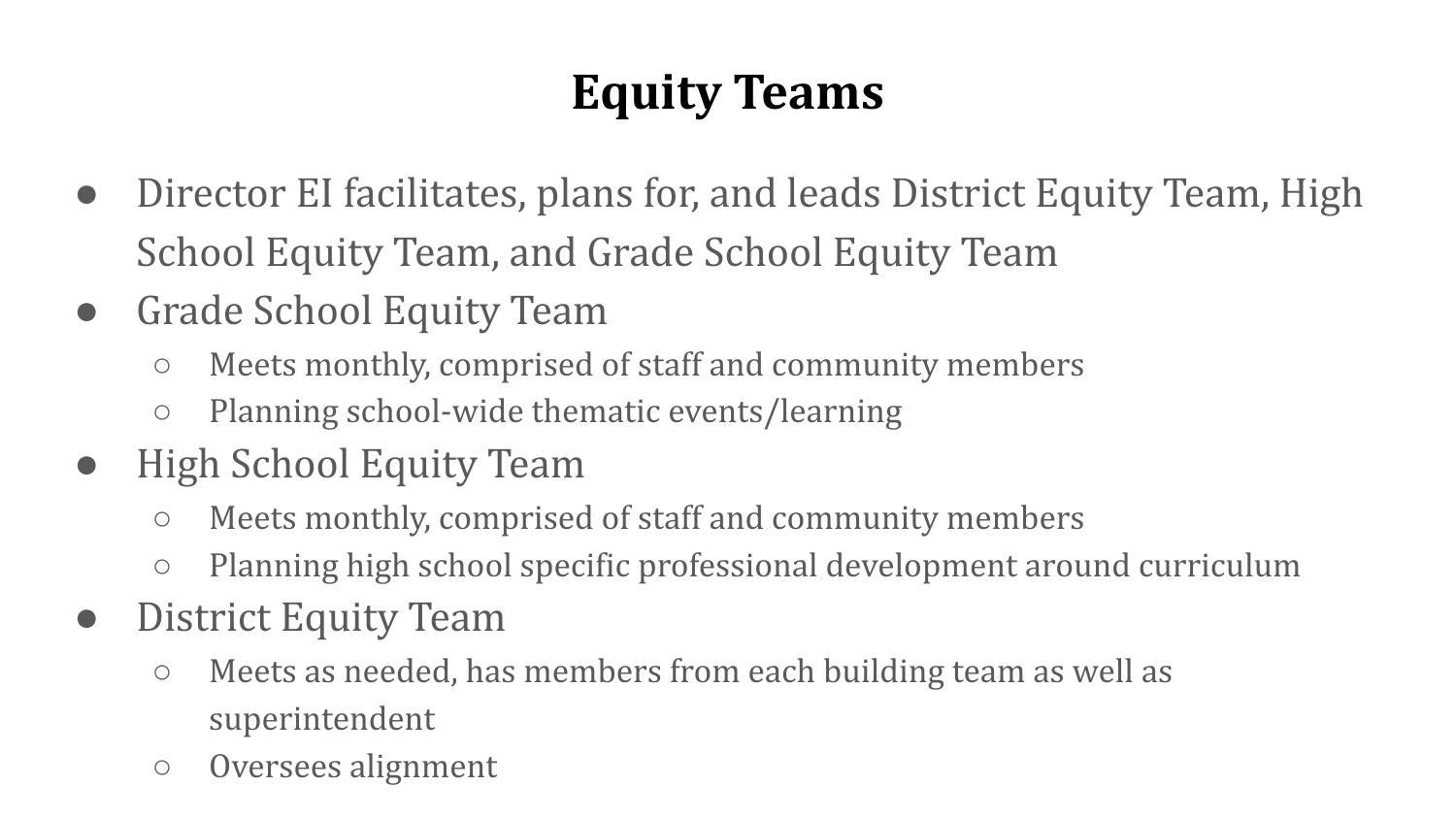## **Equity Teams**

- Director EI facilitates, plans for, and leads District Equity Team, High School Equity Team, and Grade School Equity Team
- Grade School Equity Team
	- Meets monthly, comprised of staff and community members
	- Planning school-wide thematic events/learning
- **High School Equity Team** 
	- Meets monthly, comprised of staff and community members
	- Planning high school specific professional development around curriculum
- District Equity Team
	- Meets as needed, has members from each building team as well as superintendent
	- Oversees alignment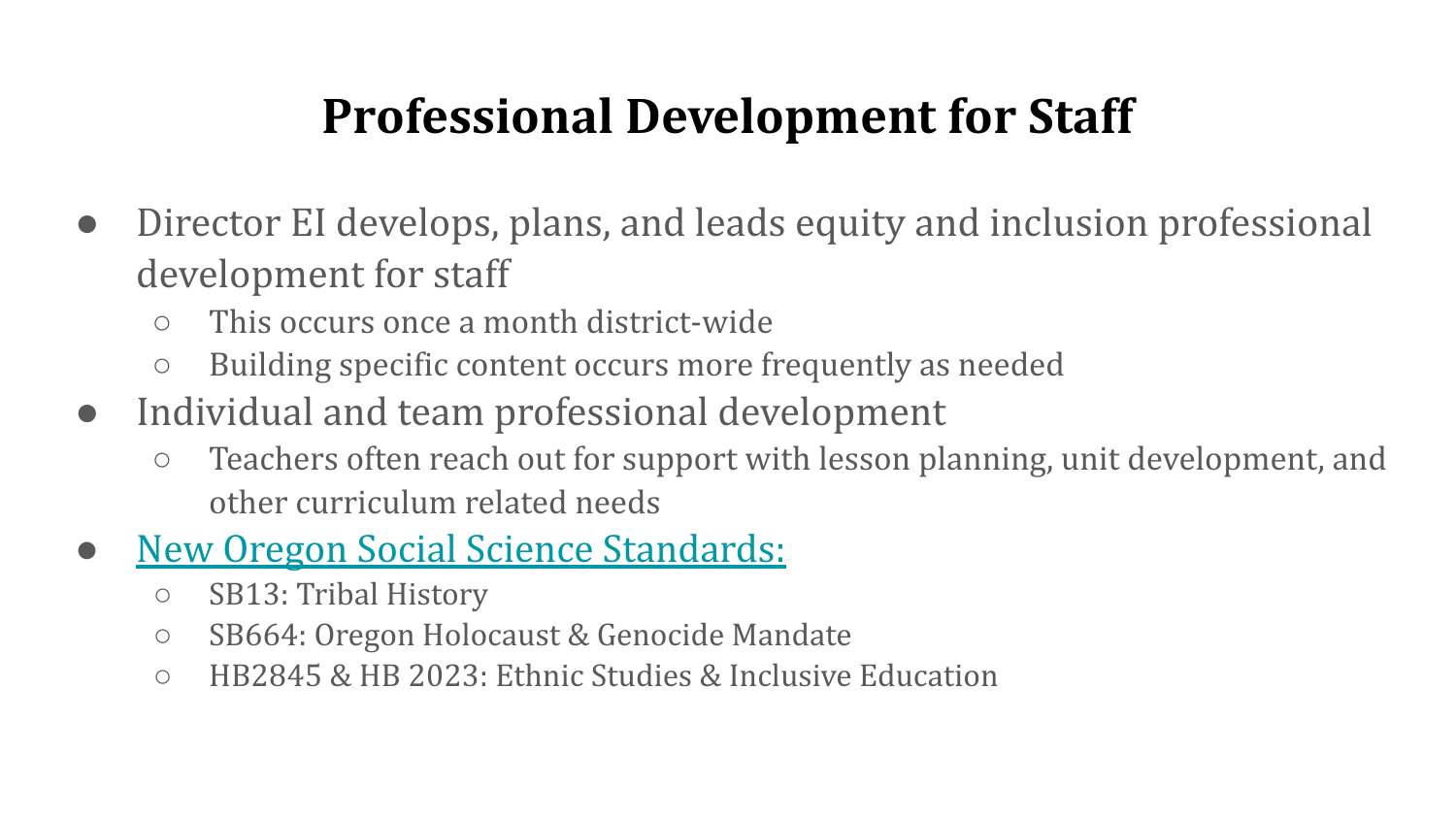#### **Professional Development for Staff**

- Director EI develops, plans, and leads equity and inclusion professional development for staff
	- This occurs once a month district-wide
	- Building specific content occurs more frequently as needed
- Individual and team professional development
	- Teachers often reach out for support with lesson planning, unit development, and other curriculum related needs
- **[New Oregon Social Science Standards:](https://www.oregon.gov/ode/educator-resources/standards/Documents/Reference%20Guide_2021-22.pdf)** 
	- SB13: Tribal History
	- SB664: Oregon Holocaust & Genocide Mandate
	- HB2845 & HB 2023: Ethnic Studies & Inclusive Education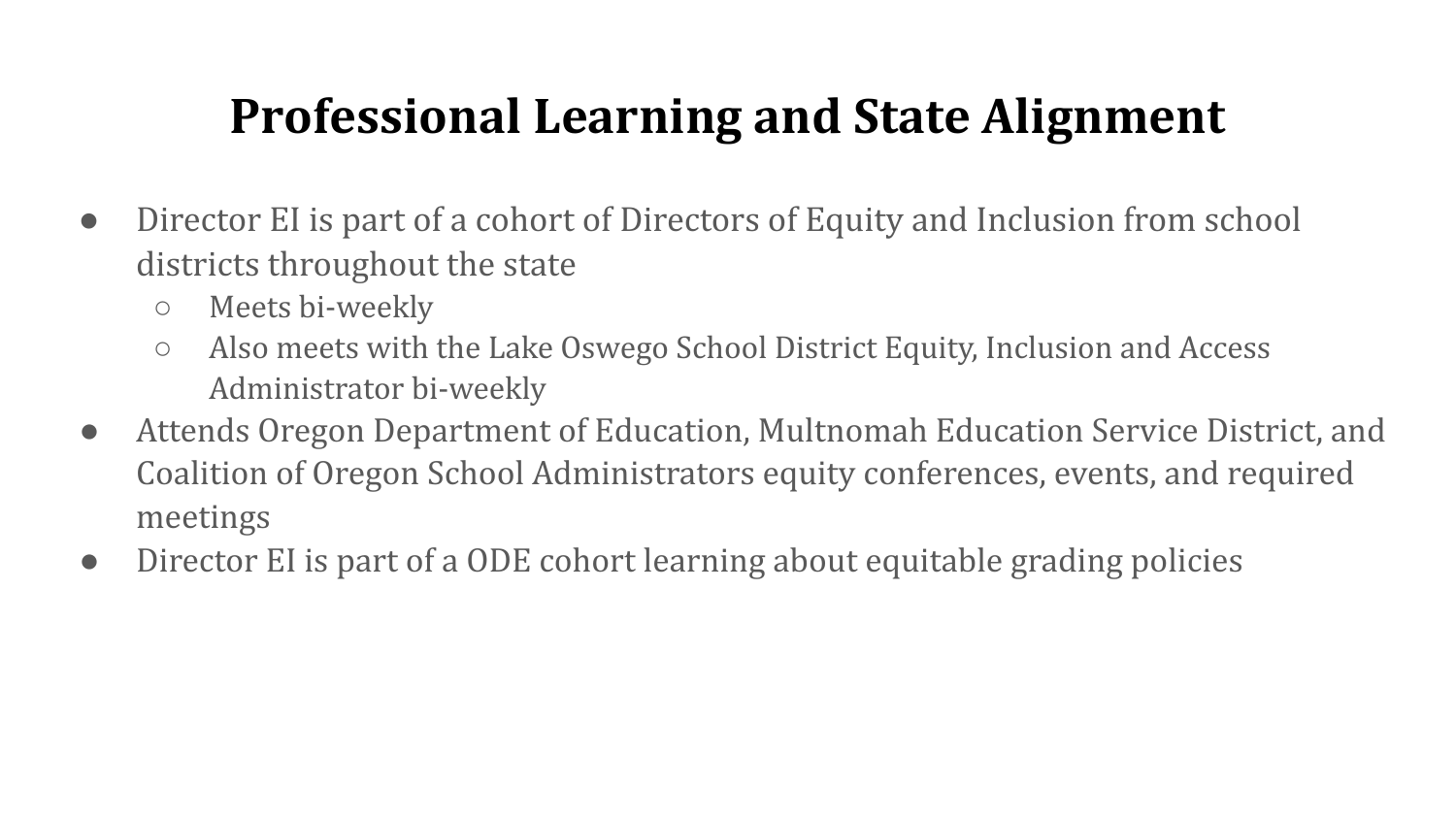#### **Professional Learning and State Alignment**

- Director EI is part of a cohort of Directors of Equity and Inclusion from school districts throughout the state
	- Meets bi-weekly
	- Also meets with the Lake Oswego School District Equity, Inclusion and Access Administrator bi-weekly
- Attends Oregon Department of Education, Multnomah Education Service District, and Coalition of Oregon School Administrators equity conferences, events, and required meetings
- Director EI is part of a ODE cohort learning about equitable grading policies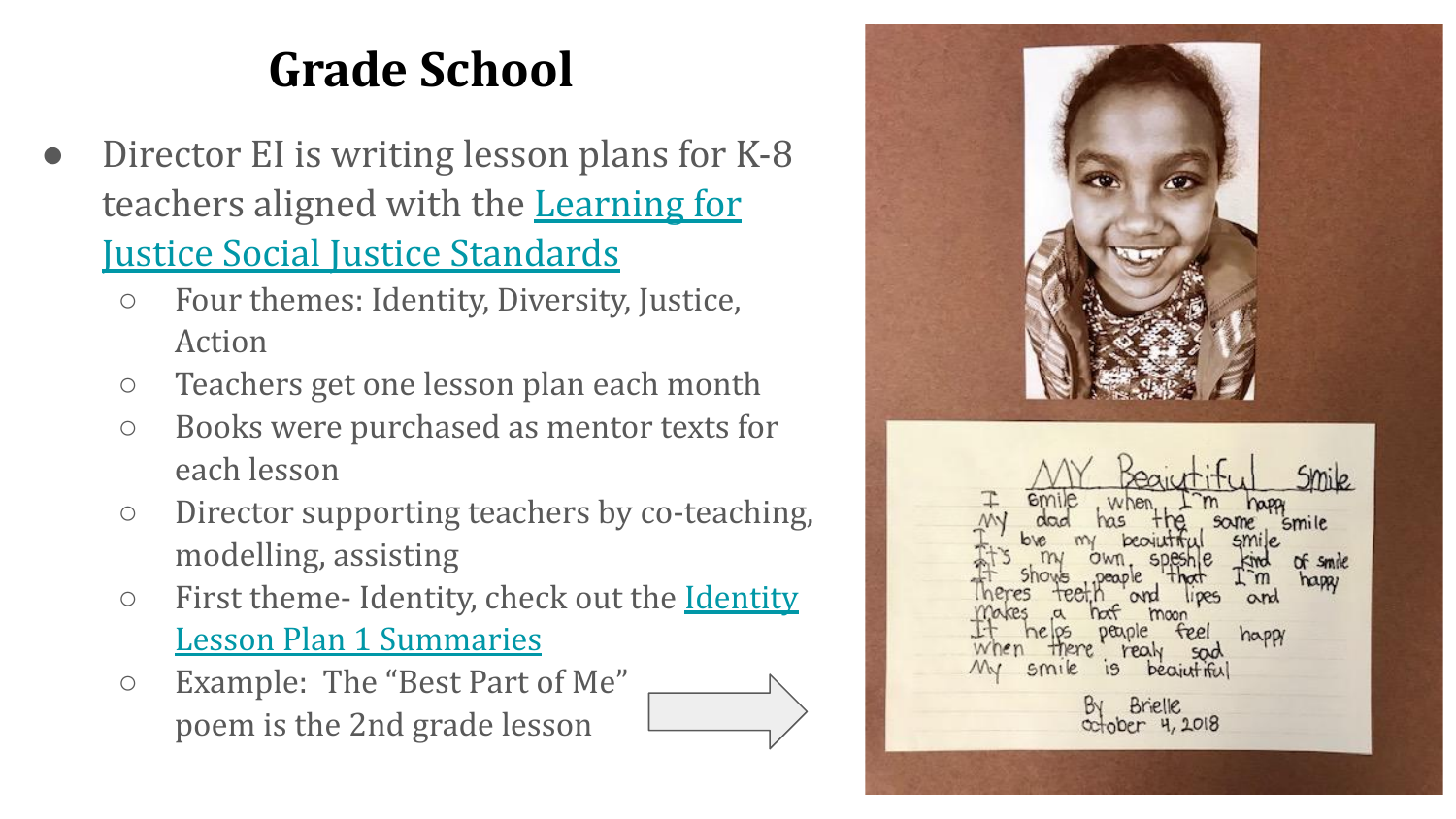### **Grade School**

- Director EI is writing lesson plans for K-8 teachers aligned with the [Learning for](https://www.learningforjustice.org/sites/default/files/2017-06/TT_Social_Justice_Standards_0.pdf) [Justice Social Justice Standards](https://www.learningforjustice.org/sites/default/files/2017-06/TT_Social_Justice_Standards_0.pdf)
	- Four themes: Identity, Diversity, Justice, Action
	- Teachers get one lesson plan each month
	- Books were purchased as mentor texts for each lesson
	- Director supporting teachers by co-teaching, modelling, assisting
	- First theme- Identity, check out the [Identity](https://docs.google.com/document/d/1C1VYWBceMgKYHwcOYdifZVV1XjfUGoCRdryH5sjrQb0/edit?usp=sharing) [Lesson Plan 1 Summaries](https://docs.google.com/document/d/1C1VYWBceMgKYHwcOYdifZVV1XjfUGoCRdryH5sjrQb0/edit?usp=sharing)
	- Example: The "Best Part of Me" poem is the 2nd grade lesson

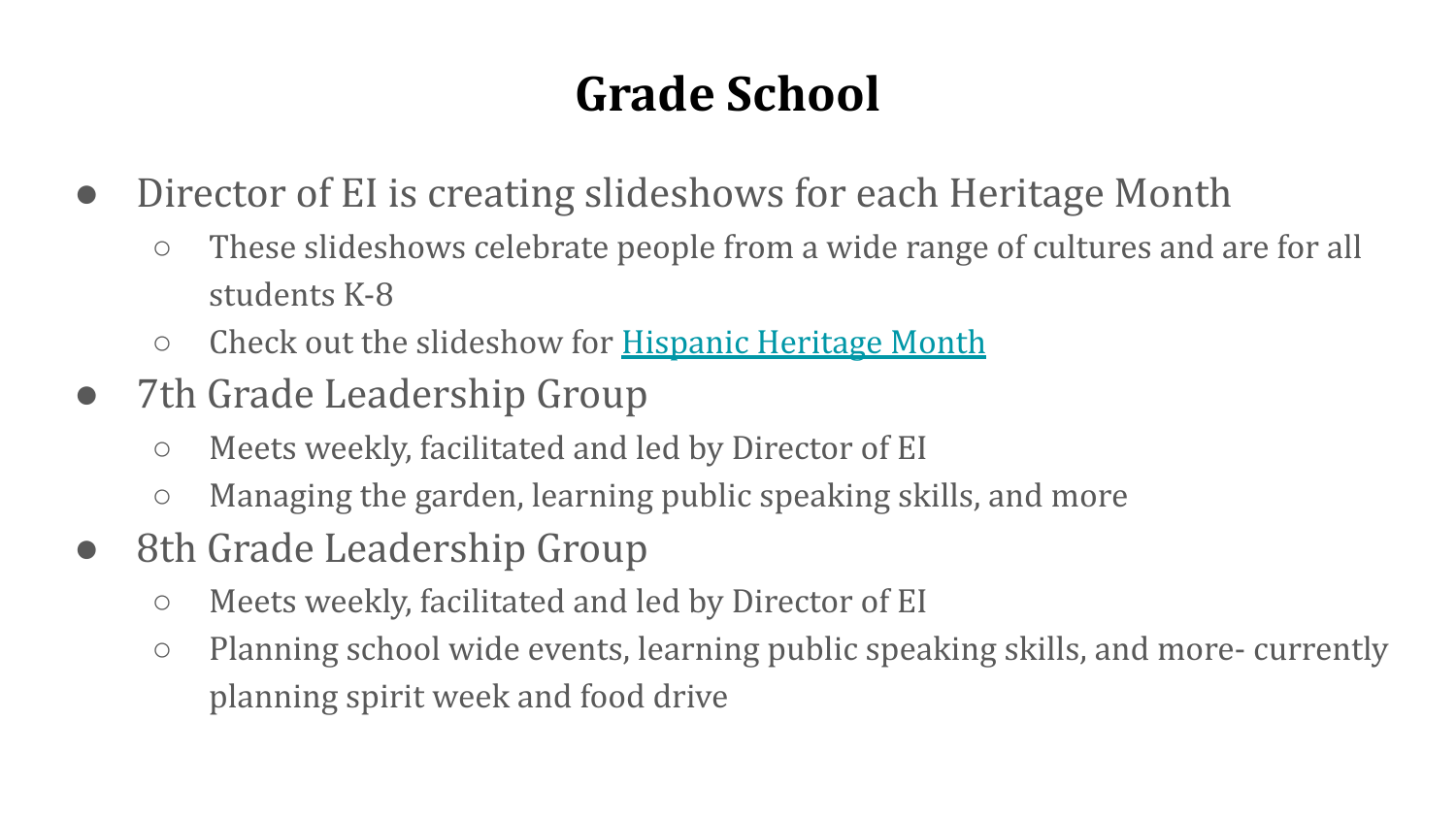## **Grade School**

- Director of EI is creating slideshows for each Heritage Month
	- These slideshows celebrate people from a wide range of cultures and are for all students K-8
	- Check out the slideshow for [Hispanic Heritage Month](https://docs.google.com/presentation/d/1KoSIi8Fao_QEtJS6wL_Qe-90FEHXk-SFW7-e9DESVOc/edit?usp=sharing)
- 7th Grade Leadership Group
	- Meets weekly, facilitated and led by Director of EI
	- Managing the garden, learning public speaking skills, and more
- 8th Grade Leadership Group
	- Meets weekly, facilitated and led by Director of EI
	- Planning school wide events, learning public speaking skills, and more- currently planning spirit week and food drive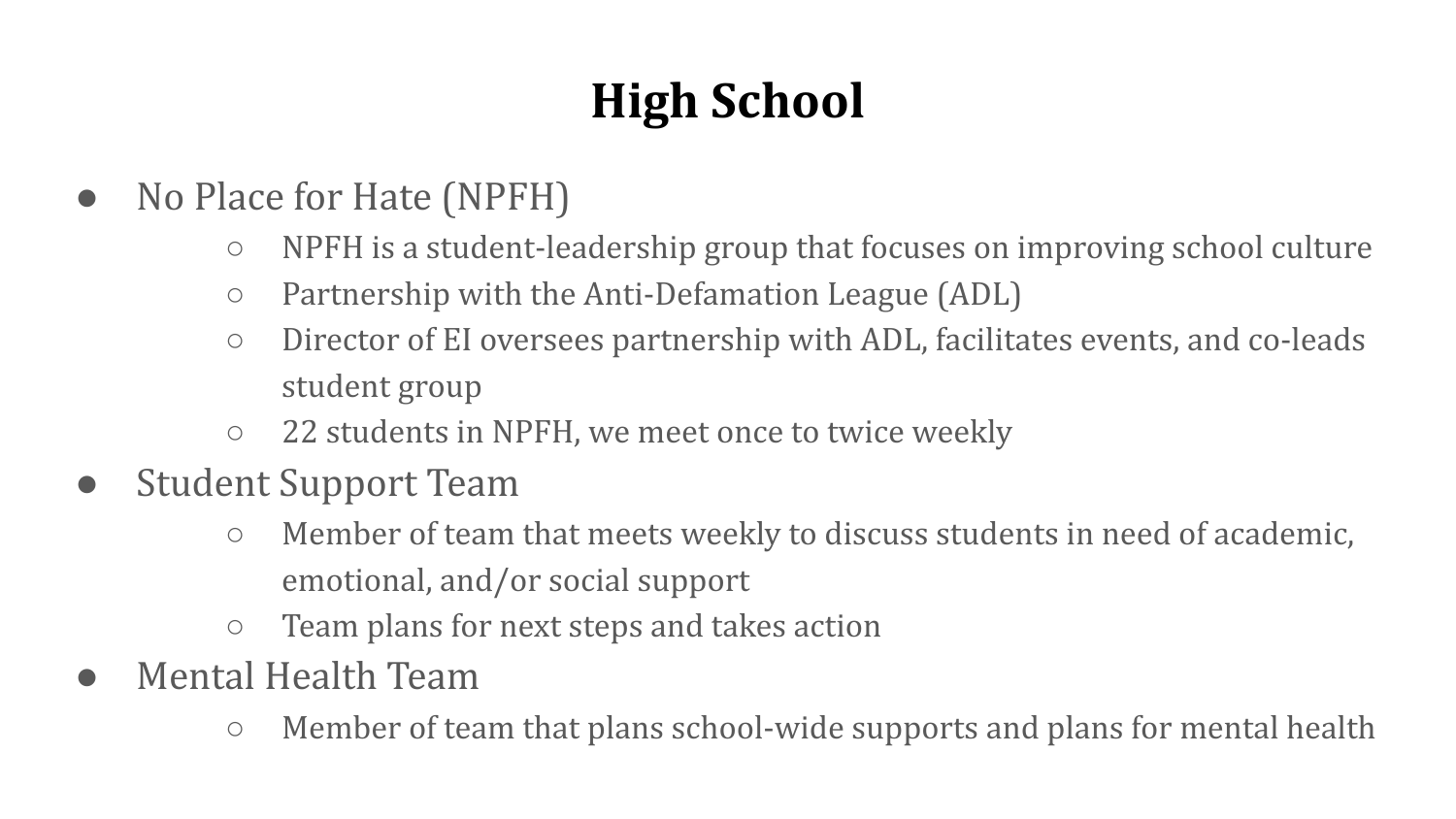# **High School**

- No Place for Hate (NPFH)
	- NPFH is a student-leadership group that focuses on improving school culture
	- Partnership with the Anti-Defamation League (ADL)
	- Director of EI oversees partnership with ADL, facilitates events, and co-leads student group
	- 22 students in NPFH, we meet once to twice weekly
- **Student Support Team** 
	- Member of team that meets weekly to discuss students in need of academic, emotional, and/or social support
	- Team plans for next steps and takes action
- Mental Health Team
	- Member of team that plans school-wide supports and plans for mental health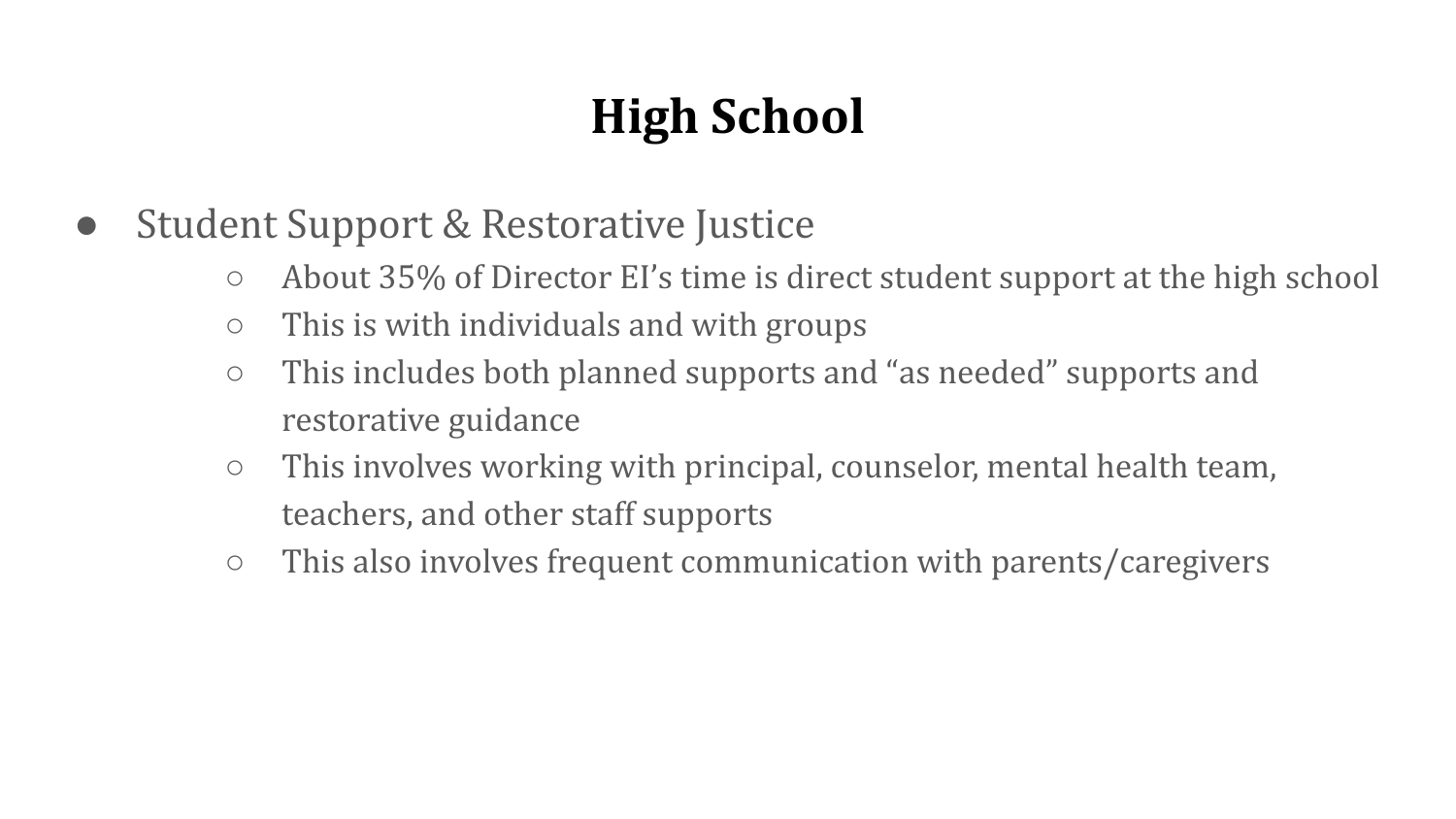# **High School**

- **Student Support & Restorative Justice** 
	- About 35% of Director EI's time is direct student support at the high school
	- $\circ$  This is with individuals and with groups
	- This includes both planned supports and "as needed" supports and restorative guidance
	- $\circ$  This involves working with principal, counselor, mental health team, teachers, and other staff supports
	- This also involves frequent communication with parents/caregivers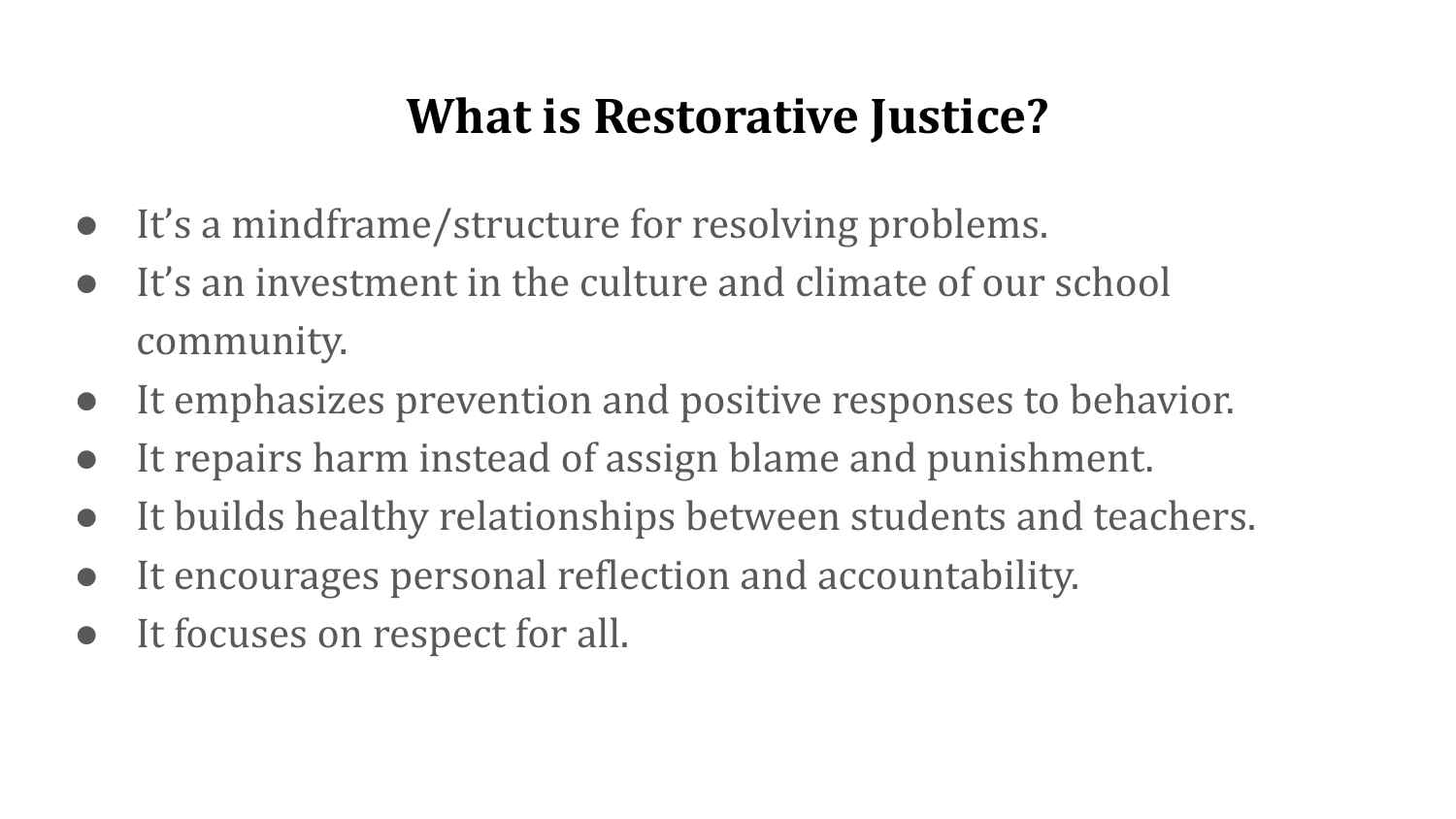#### **What is Restorative Justice?**

- It's a mindframe/structure for resolving problems.
- It's an investment in the culture and climate of our school community.
- It emphasizes prevention and positive responses to behavior.
- It repairs harm instead of assign blame and punishment.
- It builds healthy relationships between students and teachers.
- It encourages personal reflection and accountability.
- It focuses on respect for all.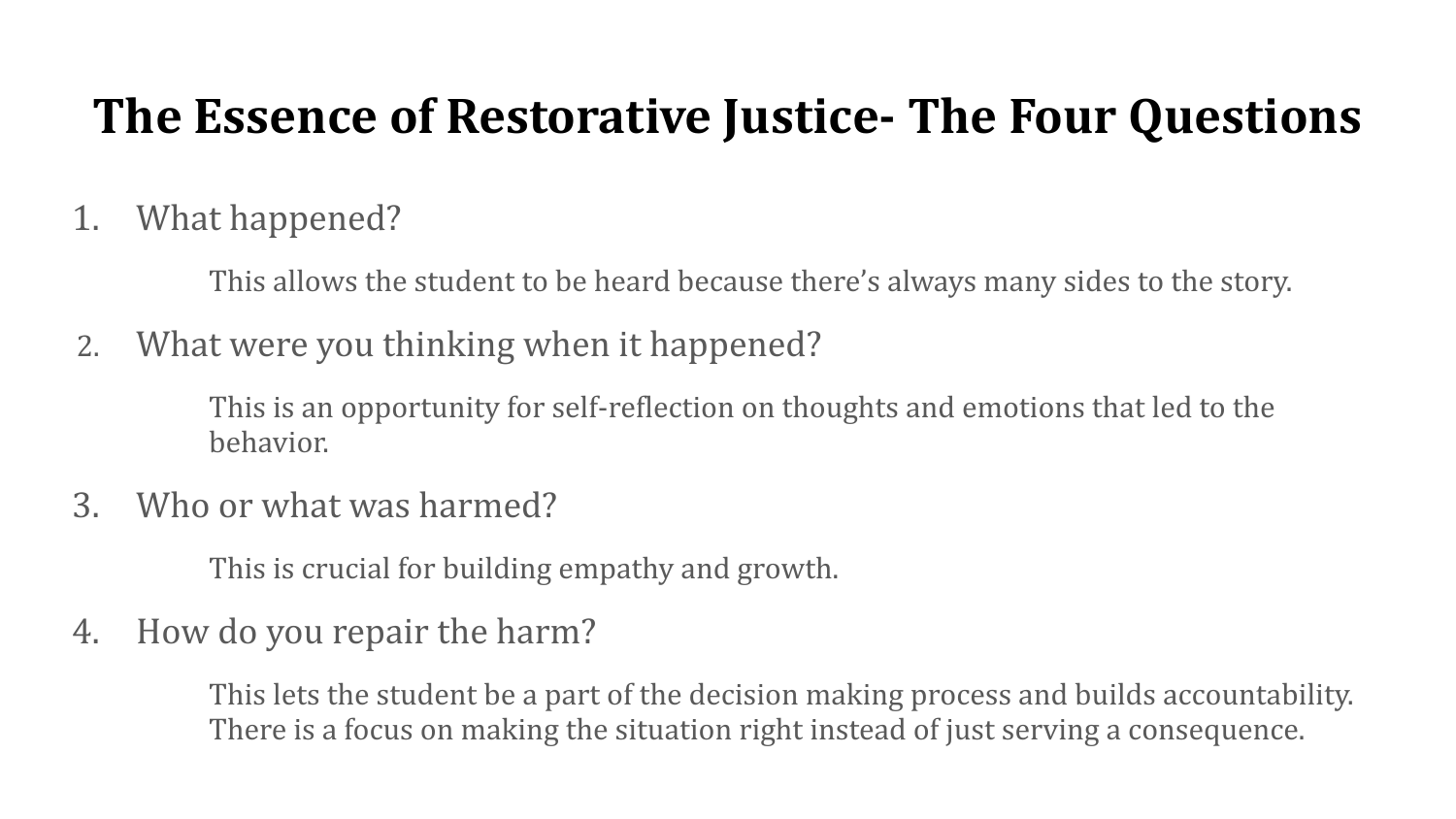#### **The Essence of Restorative Justice- The Four Questions**

1. What happened?

This allows the student to be heard because there's always many sides to the story.

2. What were you thinking when it happened?

This is an opportunity for self-reflection on thoughts and emotions that led to the behavior.

3. Who or what was harmed?

This is crucial for building empathy and growth.

4. How do you repair the harm?

This lets the student be a part of the decision making process and builds accountability. There is a focus on making the situation right instead of just serving a consequence.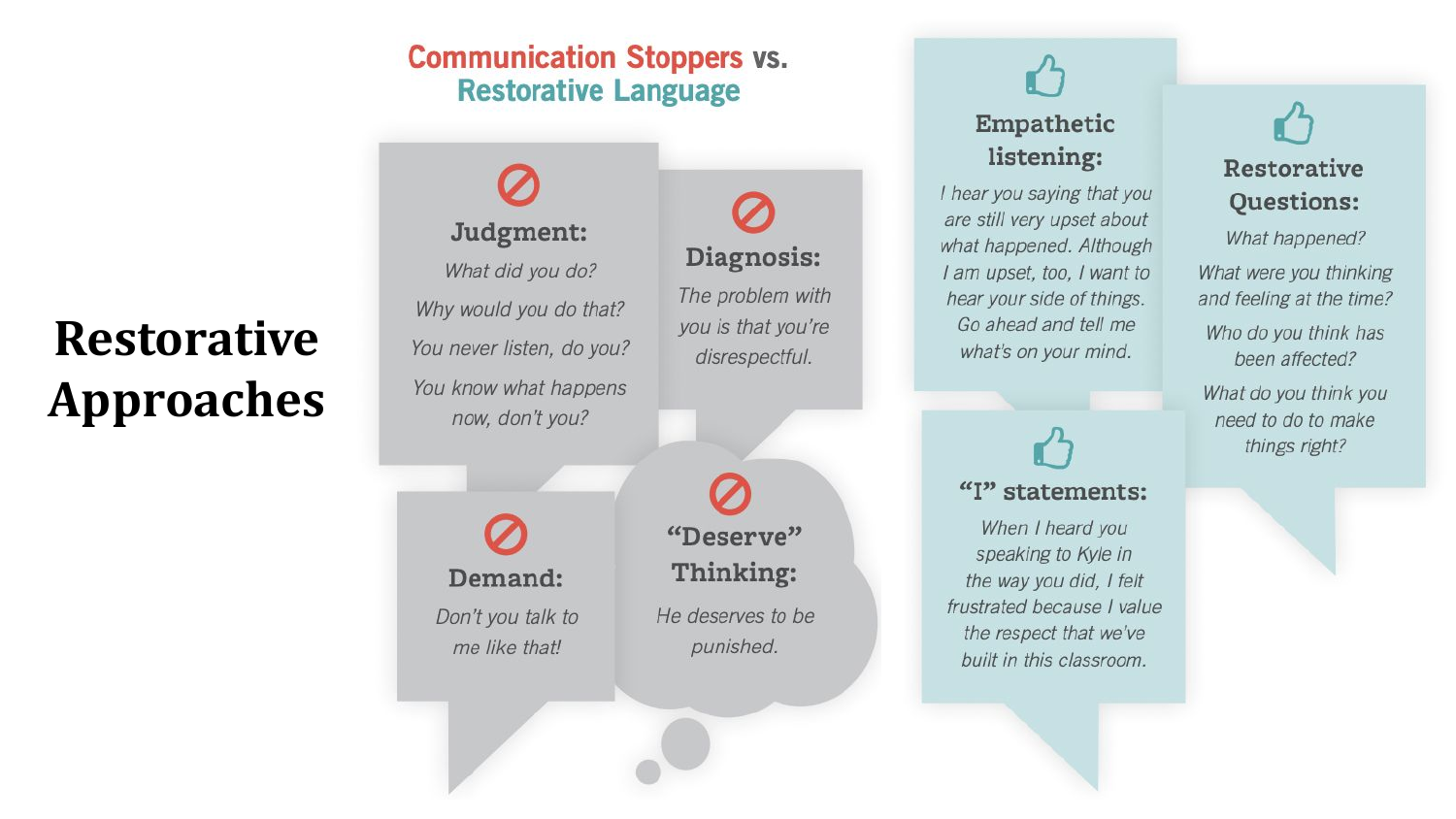#### **Communication Stoppers vs. Restorative Language**

#### **Restorative Approaches**

Judgment: What did you do? Why would you do that? You never listen, do you? You know what happens now, don't you?

Demand:

Don't you talk to me like that!

"Deserve" Thinking:

Diagnosis:

The problem with

you is that you're

disrespectful.

He deserves to be punished.

#### Empathetic listening:

I hear you saying that you are still very upset about what happened. Although I am upset, too, I want to hear your side of things. Go ahead and tell me what's on your mind.

"I" statements:

When I heard you speaking to Kyle in the way you did, I felt frustrated because I value the respect that we've built in this classroom.

#### $\mathbf{r}$ Restorative **Ouestions:**

What happened? What were you thinking and feeling at the time?

Who do you think has been affected?

What do you think you need to do to make things right?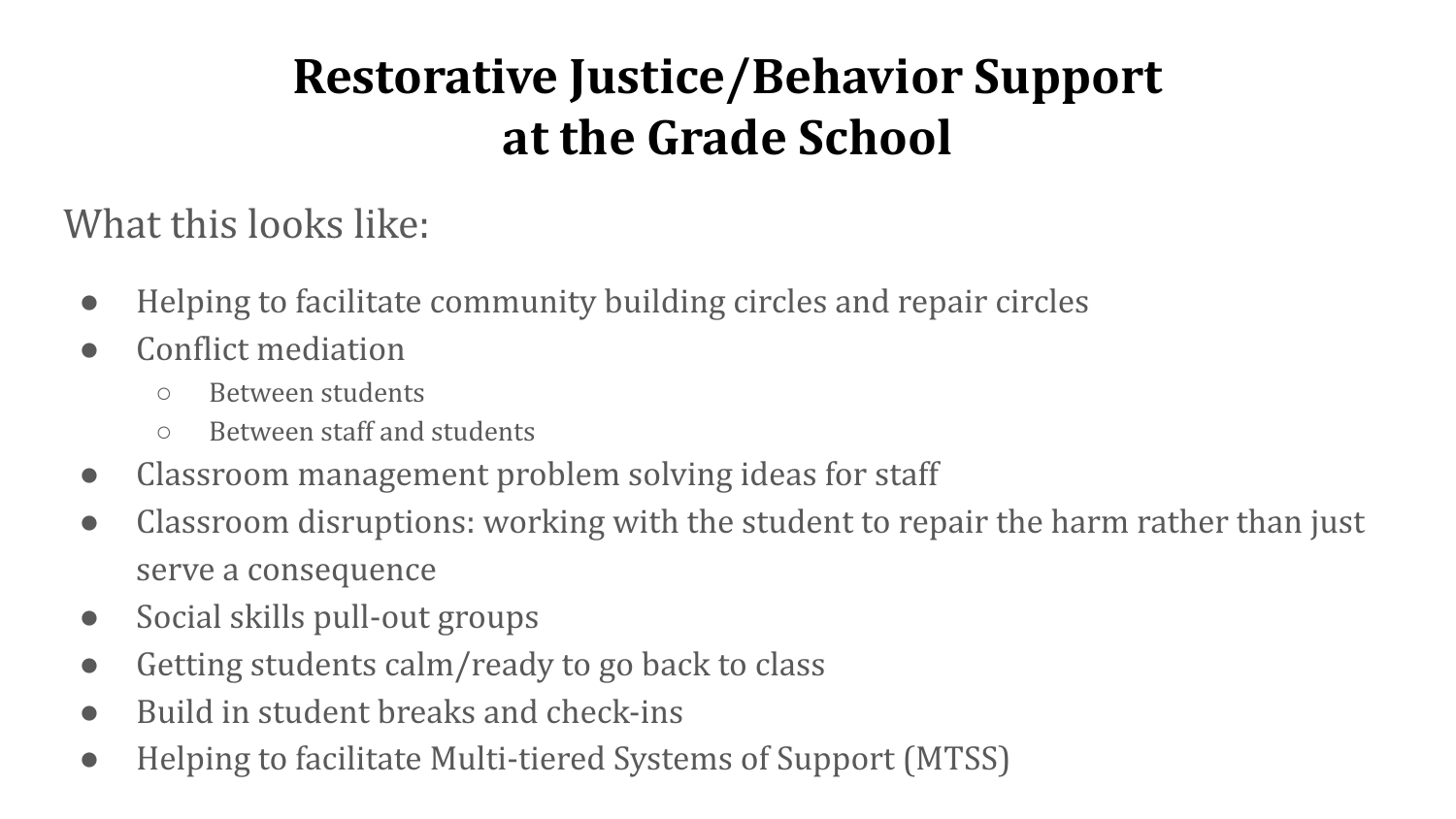#### **Restorative Justice/Behavior Support at the Grade School**

What this looks like:

- Helping to facilitate community building circles and repair circles
- Conflict mediation
	- Between students
	- Between staff and students
- Classroom management problem solving ideas for staff
- Classroom disruptions: working with the student to repair the harm rather than just serve a consequence
- Social skills pull-out groups
- Getting students calm/ready to go back to class
- Build in student breaks and check-ins
- Helping to facilitate Multi-tiered Systems of Support (MTSS)